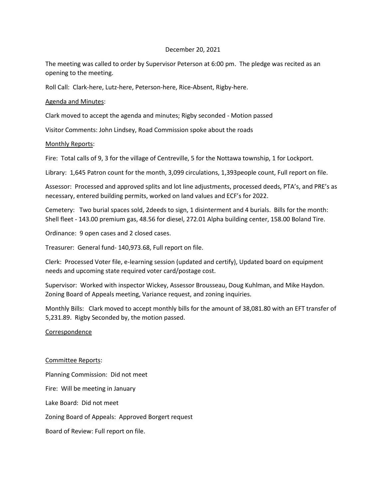## December 20, 2021

The meeting was called to order by Supervisor Peterson at 6:00 pm. The pledge was recited as an opening to the meeting.

Roll Call: Clark-here, Lutz-here, Peterson-here, Rice-Absent, Rigby-here.

## Agenda and Minutes:

Clark moved to accept the agenda and minutes; Rigby seconded - Motion passed

Visitor Comments: John Lindsey, Road Commission spoke about the roads

## Monthly Reports:

Fire: Total calls of 9, 3 for the village of Centreville, 5 for the Nottawa township, 1 for Lockport.

Library: 1,645 Patron count for the month, 3,099 circulations, 1,393people count, Full report on file.

Assessor: Processed and approved splits and lot line adjustments, processed deeds, PTA's, and PRE's as necessary, entered building permits, worked on land values and ECF's for 2022.

Cemetery: Two burial spaces sold, 2deeds to sign, 1 disinterment and 4 burials. Bills for the month: Shell fleet - 143.00 premium gas, 48.56 for diesel, 272.01 Alpha building center, 158.00 Boland Tire.

Ordinance: 9 open cases and 2 closed cases.

Treasurer: General fund- 140,973.68, Full report on file.

Clerk: Processed Voter file, e-learning session (updated and certify), Updated board on equipment needs and upcoming state required voter card/postage cost.

Supervisor: Worked with inspector Wickey, Assessor Brousseau, Doug Kuhlman, and Mike Haydon. Zoning Board of Appeals meeting, Variance request, and zoning inquiries.

Monthly Bills: Clark moved to accept monthly bills for the amount of 38,081.80 with an EFT transfer of 5,231.89. Rigby Seconded by, the motion passed.

## Correspondence

Committee Reports: Planning Commission: Did not meet Fire: Will be meeting in January Lake Board: Did not meet Zoning Board of Appeals: Approved Borgert request Board of Review: Full report on file.